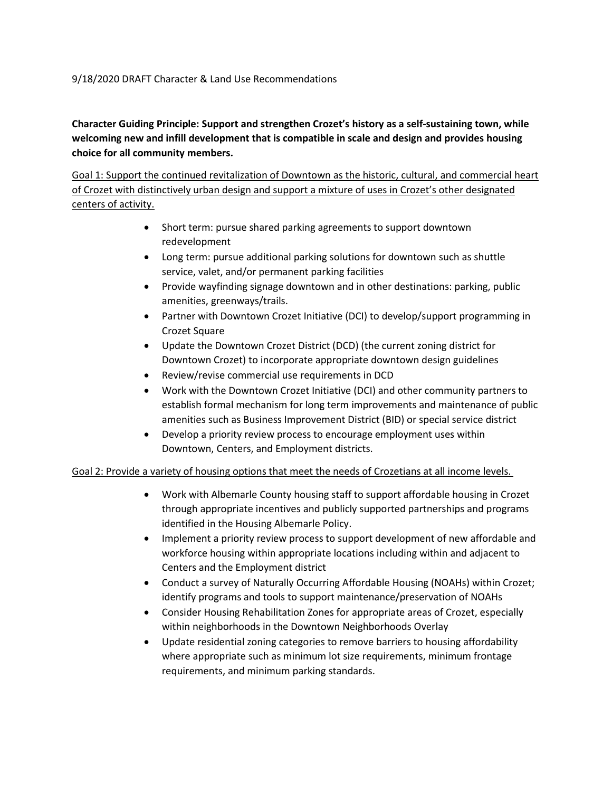## 9/18/2020 DRAFT Character & Land Use Recommendations

**Character Guiding Principle: Support and strengthen Crozet's history as a self-sustaining town, while welcoming new and infill development that is compatible in scale and design and provides housing choice for all community members.**

Goal 1: Support the continued revitalization of Downtown as the historic, cultural, and commercial heart of Crozet with distinctively urban design and support a mixture of uses in Crozet's other designated centers of activity.

- Short term: pursue shared parking agreements to support downtown redevelopment
- Long term: pursue additional parking solutions for downtown such as shuttle service, valet, and/or permanent parking facilities
- Provide wayfinding signage downtown and in other destinations: parking, public amenities, greenways/trails.
- Partner with Downtown Crozet Initiative (DCI) to develop/support programming in Crozet Square
- Update the Downtown Crozet District (DCD) (the current zoning district for Downtown Crozet) to incorporate appropriate downtown design guidelines
- Review/revise commercial use requirements in DCD
- Work with the Downtown Crozet Initiative (DCI) and other community partners to establish formal mechanism for long term improvements and maintenance of public amenities such as Business Improvement District (BID) or special service district
- Develop a priority review process to encourage employment uses within Downtown, Centers, and Employment districts.

## Goal 2: Provide a variety of housing options that meet the needs of Crozetians at all income levels.

- Work with Albemarle County housing staff to support affordable housing in Crozet through appropriate incentives and publicly supported partnerships and programs identified in the Housing Albemarle Policy.
- Implement a priority review process to support development of new affordable and workforce housing within appropriate locations including within and adjacent to Centers and the Employment district
- Conduct a survey of Naturally Occurring Affordable Housing (NOAHs) within Crozet; identify programs and tools to support maintenance/preservation of NOAHs
- Consider Housing Rehabilitation Zones for appropriate areas of Crozet, especially within neighborhoods in the Downtown Neighborhoods Overlay
- Update residential zoning categories to remove barriers to housing affordability where appropriate such as minimum lot size requirements, minimum frontage requirements, and minimum parking standards.